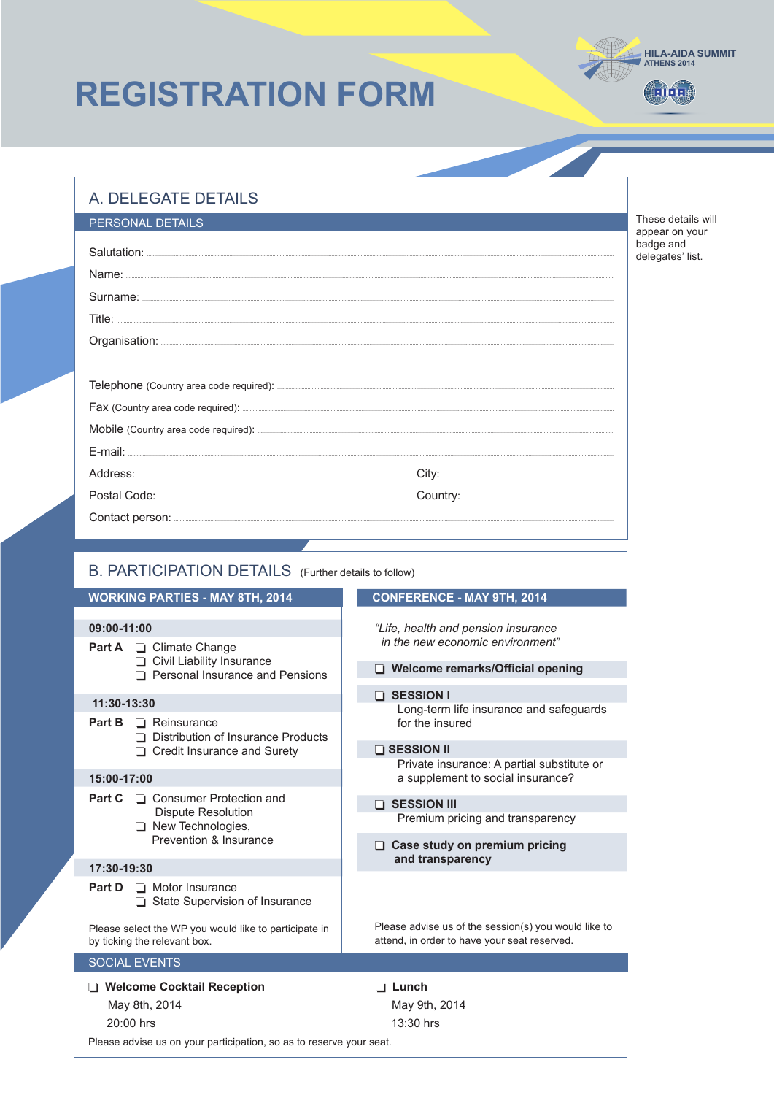## **REGISTRATION FORM**

## A. DELEGATE DETAILS

20:00 hrs

Please advise us on your participation, so as to reserve your seat.

| PERSONAL DETAILS |  |  |  |  |  |
|------------------|--|--|--|--|--|
|                  |  |  |  |  |  |
|                  |  |  |  |  |  |
|                  |  |  |  |  |  |
|                  |  |  |  |  |  |
|                  |  |  |  |  |  |
|                  |  |  |  |  |  |
|                  |  |  |  |  |  |
|                  |  |  |  |  |  |
|                  |  |  |  |  |  |
|                  |  |  |  |  |  |
|                  |  |  |  |  |  |
|                  |  |  |  |  |  |
|                  |  |  |  |  |  |
|                  |  |  |  |  |  |

These details will appear on your<br>badge and delegates' list.

**HILA-AIDA SUMMIT**<br>ATHENS 2014

**CHIOLE** 

| B. PARTICIPATION DETAILS (Further details to follow)                                  |                                                                                                      |  |  |  |  |
|---------------------------------------------------------------------------------------|------------------------------------------------------------------------------------------------------|--|--|--|--|
| <b>WORKING PARTIES - MAY 8TH, 2014</b>                                                | <b>CONFERENCE - MAY 9TH, 2014</b>                                                                    |  |  |  |  |
| 09:00-11:00                                                                           | "Life, health and pension insurance                                                                  |  |  |  |  |
| <b>Part A Q</b> Climate Change                                                        | in the new economic environment"                                                                     |  |  |  |  |
| Civil Liability Insurance<br>Personal Insurance and Pensions                          | Welcome remarks/Official opening                                                                     |  |  |  |  |
| 11:30-13:30                                                                           | $\Box$ SESSION I                                                                                     |  |  |  |  |
| Part B<br>$\Box$ Reinsurance<br>Distribution of Insurance Products                    | Long-term life insurance and safeguards<br>for the insured                                           |  |  |  |  |
| Credit Insurance and Surety                                                           | $\Box$ SESSION II                                                                                    |  |  |  |  |
|                                                                                       | Private insurance: A partial substitute or                                                           |  |  |  |  |
| 15:00-17:00                                                                           | a supplement to social insurance?                                                                    |  |  |  |  |
| □ Consumer Protection and<br>Part C                                                   | <b>THE SESSION III</b>                                                                               |  |  |  |  |
| <b>Dispute Resolution</b><br>$\Box$ New Technologies,                                 | Premium pricing and transparency                                                                     |  |  |  |  |
| Prevention & Insurance                                                                | Case study on premium pricing<br>and transparency                                                    |  |  |  |  |
| 17:30-19:30                                                                           |                                                                                                      |  |  |  |  |
| Part D<br>$\Box$ Motor Insurance<br>State Supervision of Insurance<br>n.              |                                                                                                      |  |  |  |  |
| Please select the WP you would like to participate in<br>by ticking the relevant box. | Please advise us of the session(s) you would like to<br>attend, in order to have your seat reserved. |  |  |  |  |
| <b>SOCIAL EVENTS</b>                                                                  |                                                                                                      |  |  |  |  |
| □ Welcome Cocktail Reception<br>May 8th, 2014                                         | Lunch<br>May 9th, 2014                                                                               |  |  |  |  |

13:30 hrs